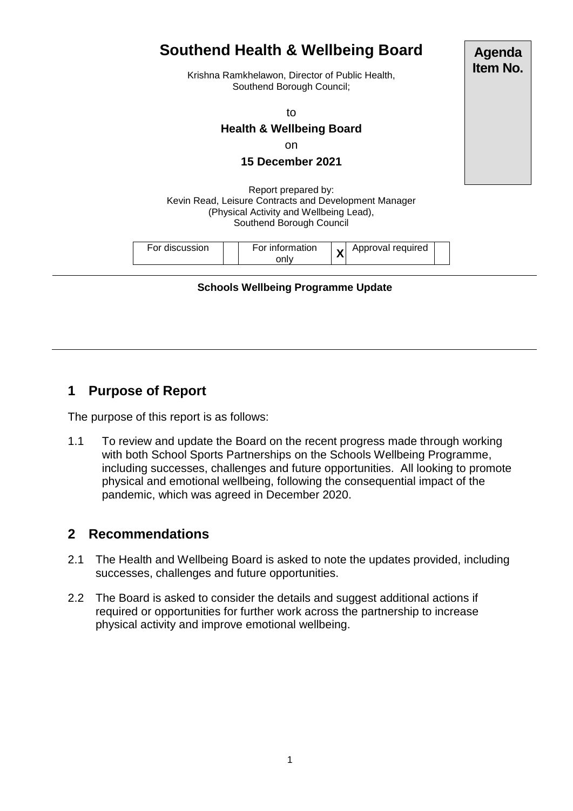## **Southend Health & Wellbeing Board** Krishna Ramkhelawon, Director of Public Health, Southend Borough Council; to **Health & Wellbeing Board** on **15 December 2021** Report prepared by: Kevin Read, Leisure Contracts and Development Manager (Physical Activity and Wellbeing Lead), Southend Borough Council For discussion For information only **X** Approval required **Agenda Item No.**

**Schools Wellbeing Programme Update**

# **1 Purpose of Report**

The purpose of this report is as follows:

1.1 To review and update the Board on the recent progress made through working with both School Sports Partnerships on the Schools Wellbeing Programme, including successes, challenges and future opportunities. All looking to promote physical and emotional wellbeing, following the consequential impact of the pandemic, which was agreed in December 2020.

# **2 Recommendations**

- 2.1 The Health and Wellbeing Board is asked to note the updates provided, including successes, challenges and future opportunities.
- 2.2 The Board is asked to consider the details and suggest additional actions if required or opportunities for further work across the partnership to increase physical activity and improve emotional wellbeing.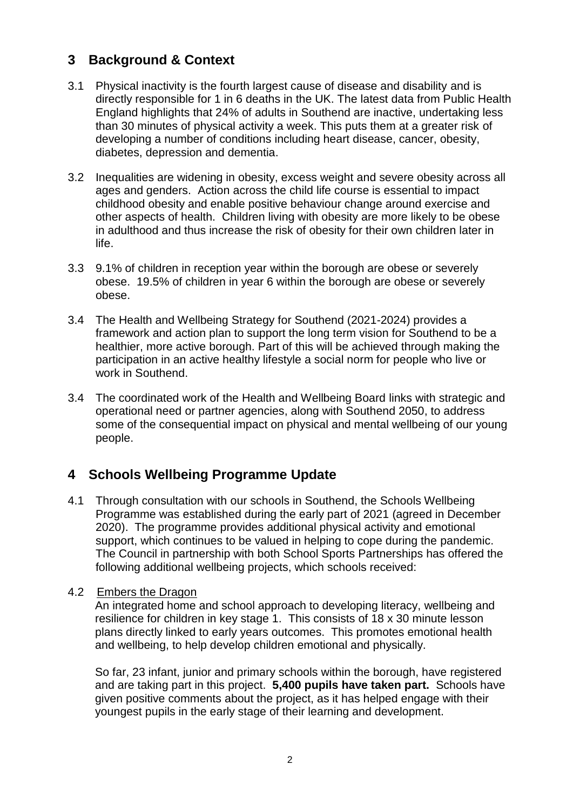# **3 Background & Context**

- 3.1 Physical inactivity is the fourth largest cause of disease and disability and is directly responsible for 1 in 6 deaths in the UK. The latest data from Public Health England highlights that 24% of adults in Southend are inactive, undertaking less than 30 minutes of physical activity a week. This puts them at a greater risk of developing a number of conditions including heart disease, cancer, obesity, diabetes, depression and dementia.
- 3.2 Inequalities are widening in obesity, excess weight and severe obesity across all ages and genders. Action across the child life course is essential to impact childhood obesity and enable positive behaviour change around exercise and other aspects of health. Children living with obesity are more likely to be obese in adulthood and thus increase the risk of obesity for their own children later in life.
- 3.3 9.1% of children in reception year within the borough are obese or severely obese. 19.5% of children in year 6 within the borough are obese or severely obese.
- 3.4 The Health and Wellbeing Strategy for Southend (2021-2024) provides a framework and action plan to support the long term vision for Southend to be a healthier, more active borough. Part of this will be achieved through making the participation in an active healthy lifestyle a social norm for people who live or work in Southend.
- 3.4 The coordinated work of the Health and Wellbeing Board links with strategic and operational need or partner agencies, along with Southend 2050, to address some of the consequential impact on physical and mental wellbeing of our young people.

# **4 Schools Wellbeing Programme Update**

4.1 Through consultation with our schools in Southend, the Schools Wellbeing Programme was established during the early part of 2021 (agreed in December 2020). The programme provides additional physical activity and emotional support, which continues to be valued in helping to cope during the pandemic. The Council in partnership with both School Sports Partnerships has offered the following additional wellbeing projects, which schools received:

#### 4.2 Embers the Dragon

An integrated home and school approach to developing literacy, wellbeing and resilience for children in key stage 1. This consists of 18 x 30 minute lesson plans directly linked to early years outcomes. This promotes emotional health and wellbeing, to help develop children emotional and physically.

So far, 23 infant, junior and primary schools within the borough, have registered and are taking part in this project. **5,400 pupils have taken part.** Schools have given positive comments about the project, as it has helped engage with their youngest pupils in the early stage of their learning and development.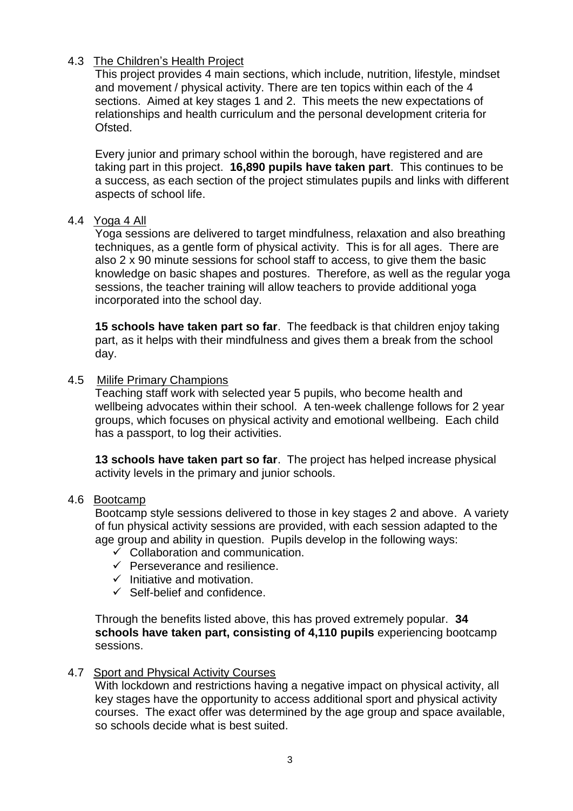### 4.3 The Children's Health Project

This project provides 4 main sections, which include, nutrition, lifestyle, mindset and movement / physical activity. There are ten topics within each of the 4 sections. Aimed at key stages 1 and 2. This meets the new expectations of relationships and health curriculum and the personal development criteria for Ofsted.

Every junior and primary school within the borough, have registered and are taking part in this project. **16,890 pupils have taken part**. This continues to be a success, as each section of the project stimulates pupils and links with different aspects of school life.

#### 4.4 Yoga 4 All

Yoga sessions are delivered to target mindfulness, relaxation and also breathing techniques, as a gentle form of physical activity. This is for all ages. There are also 2 x 90 minute sessions for school staff to access, to give them the basic knowledge on basic shapes and postures. Therefore, as well as the regular yoga sessions, the teacher training will allow teachers to provide additional yoga incorporated into the school day.

**15 schools have taken part so far**. The feedback is that children enjoy taking part, as it helps with their mindfulness and gives them a break from the school day.

#### 4.5 Milife Primary Champions

Teaching staff work with selected year 5 pupils, who become health and wellbeing advocates within their school. A ten-week challenge follows for 2 year groups, which focuses on physical activity and emotional wellbeing. Each child has a passport, to log their activities.

**13 schools have taken part so far**. The project has helped increase physical activity levels in the primary and junior schools.

#### 4.6 Bootcamp

Bootcamp style sessions delivered to those in key stages 2 and above. A variety of fun physical activity sessions are provided, with each session adapted to the age group and ability in question. Pupils develop in the following ways:

- $\checkmark$  Collaboration and communication.
- $\checkmark$  Perseverance and resilience.
- $\checkmark$  Initiative and motivation.
- $\checkmark$  Self-belief and confidence.

Through the benefits listed above, this has proved extremely popular. **34 schools have taken part, consisting of 4,110 pupils** experiencing bootcamp sessions.

#### 4.7 Sport and Physical Activity Courses

With lockdown and restrictions having a negative impact on physical activity, all key stages have the opportunity to access additional sport and physical activity courses. The exact offer was determined by the age group and space available, so schools decide what is best suited.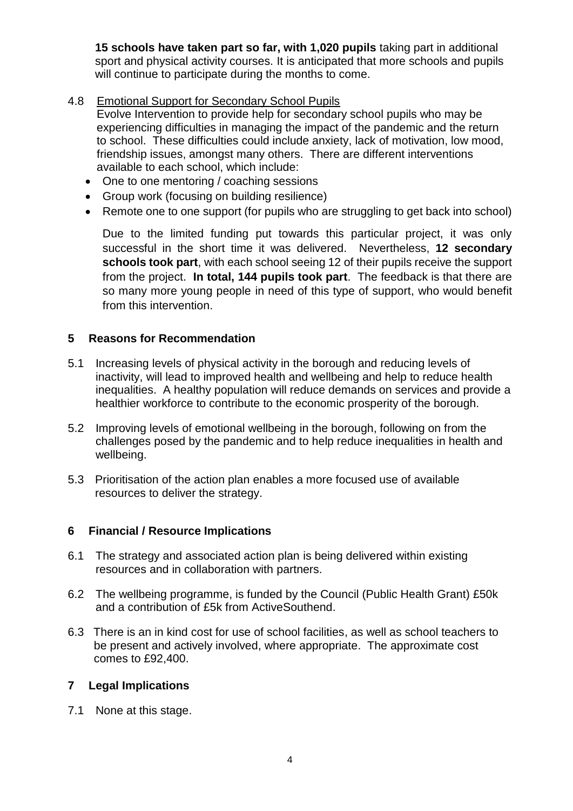**15 schools have taken part so far, with 1,020 pupils** taking part in additional sport and physical activity courses. It is anticipated that more schools and pupils will continue to participate during the months to come.

4.8 Emotional Support for Secondary School Pupils

Evolve Intervention to provide help for secondary school pupils who may be experiencing difficulties in managing the impact of the pandemic and the return to school. These difficulties could include anxiety, lack of motivation, low mood, friendship issues, amongst many others. There are different interventions available to each school, which include:

- One to one mentoring / coaching sessions
- Group work (focusing on building resilience)
- Remote one to one support (for pupils who are struggling to get back into school)

Due to the limited funding put towards this particular project, it was only successful in the short time it was delivered. Nevertheless, **12 secondary schools took part**, with each school seeing 12 of their pupils receive the support from the project. **In total, 144 pupils took part**. The feedback is that there are so many more young people in need of this type of support, who would benefit from this intervention.

#### **5 Reasons for Recommendation**

- 5.1 Increasing levels of physical activity in the borough and reducing levels of inactivity, will lead to improved health and wellbeing and help to reduce health inequalities. A healthy population will reduce demands on services and provide a healthier workforce to contribute to the economic prosperity of the borough.
- 5.2 Improving levels of emotional wellbeing in the borough, following on from the challenges posed by the pandemic and to help reduce inequalities in health and wellbeing.
- 5.3 Prioritisation of the action plan enables a more focused use of available resources to deliver the strategy.

#### **6 Financial / Resource Implications**

- 6.1 The strategy and associated action plan is being delivered within existing resources and in collaboration with partners.
- 6.2 The wellbeing programme, is funded by the Council (Public Health Grant) £50k and a contribution of £5k from ActiveSouthend.
- 6.3 There is an in kind cost for use of school facilities, as well as school teachers to be present and actively involved, where appropriate. The approximate cost comes to £92,400.

## **7 Legal Implications**

7.1 None at this stage.